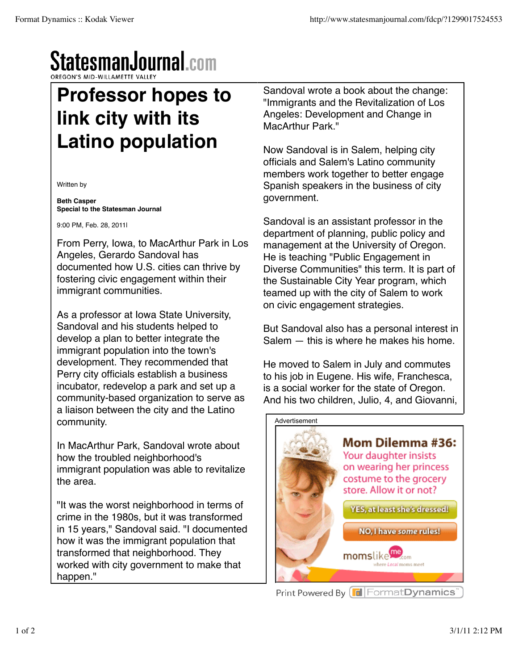## StatesmanJournal.com

## **Professor hopes to link city with its Latino population**

Written by

**Beth Casper Special to the Statesman Journal**

9:00 PM, Feb. 28, 2011|

From Perry, Iowa, to MacArthur Park in Los Angeles, Gerardo Sandoval has documented how U.S. cities can thrive by fostering civic engagement within their immigrant communities.

As a professor at Iowa State University, Sandoval and his students helped to develop a plan to better integrate the immigrant population into the town's development. They recommended that Perry city officials establish a business incubator, redevelop a park and set up a community-based organization to serve as a liaison between the city and the Latino community.

In MacArthur Park, Sandoval wrote about how the troubled neighborhood's immigrant population was able to revitalize the area.

"It was the worst neighborhood in terms of crime in the 1980s, but it was transformed in 15 years," Sandoval said. "I documented how it was the immigrant population that transformed that neighborhood. They worked with city government to make that happen."

Sandoval wrote a book about the change: "Immigrants and the Revitalization of Los Angeles: Development and Change in MacArthur Park."

Now Sandoval is in Salem, helping city officials and Salem's Latino community members work together to better engage Spanish speakers in the business of city government.

Sandoval is an assistant professor in the department of planning, public policy and management at the University of Oregon. He is teaching "Public Engagement in Diverse Communities" this term. It is part of the Sustainable City Year program, which teamed up with the city of Salem to work on civic engagement strategies.

But Sandoval also has a personal interest in Salem — this is where he makes his home.

He moved to Salem in July and commutes to his job in Eugene. His wife, Franchesca, is a social worker for the state of Oregon. And his two children, Julio, 4, and Giovanni,